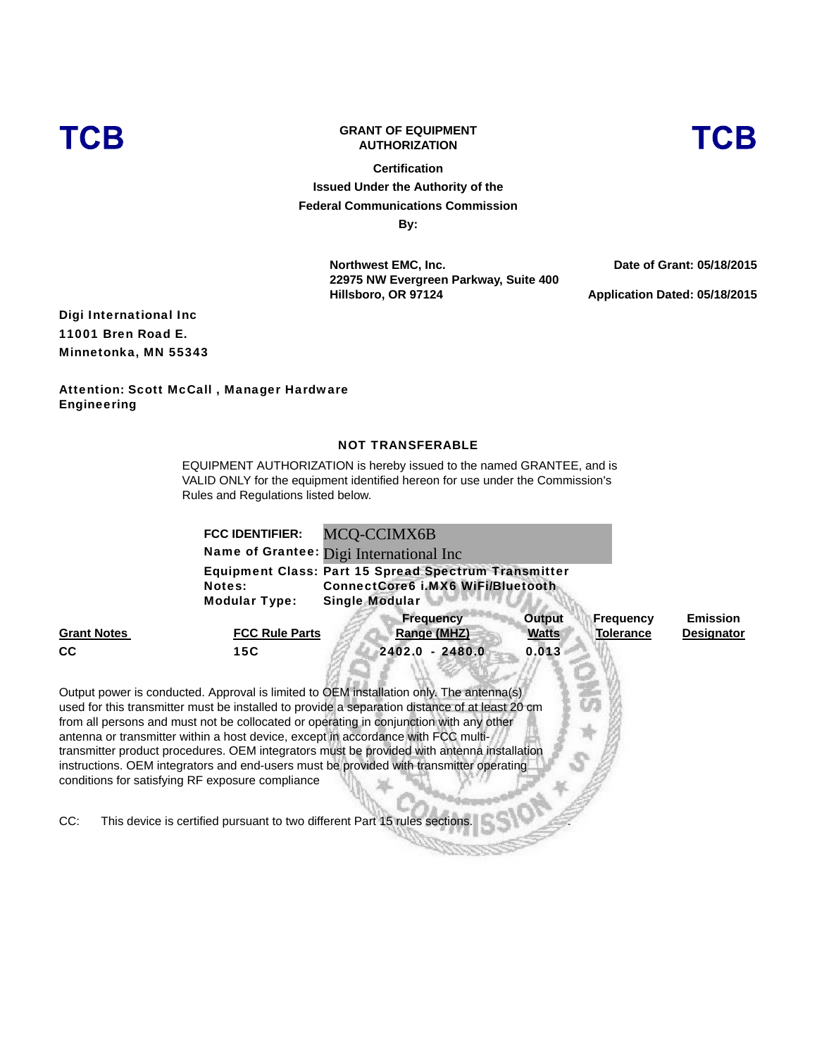

# **GRANT OF EQUIPMENT AUTHORIZATION**

**Certification Issued Under the Authority of the Federal Communications Commission By:**

> **Northwest EMC, Inc. 22975 NW Evergreen Parkway, Suite 400 Hillsboro, OR 97124**

**Date of Grant: 05/18/2015**

**Application Dated: 05/18/2015**

Digi International Inc 11001 Bren Road E. Minnetonka, MN 55343

Attention: Scott McCall , Manager Hardware Engineering

### NOT TRANSFERABLE

EQUIPMENT AUTHORIZATION is hereby issued to the named GRANTEE, and is VALID ONLY for the equipment identified hereon for use under the Commission's Rules and Regulations listed below.

|                                                         | <b>FCC IDENTIFIER:</b>                | MCQ-CCIMX6B                                                                                                                                                                                                                                                                                                                                                                                                                                                                                                                                                                                                                                     |                               |                                      |                                      |
|---------------------------------------------------------|---------------------------------------|-------------------------------------------------------------------------------------------------------------------------------------------------------------------------------------------------------------------------------------------------------------------------------------------------------------------------------------------------------------------------------------------------------------------------------------------------------------------------------------------------------------------------------------------------------------------------------------------------------------------------------------------------|-------------------------------|--------------------------------------|--------------------------------------|
|                                                         |                                       | Name of Grantee: Digi International Inc                                                                                                                                                                                                                                                                                                                                                                                                                                                                                                                                                                                                         |                               |                                      |                                      |
|                                                         | <b>Notes:</b><br><b>Modular Type:</b> | <b>Equipment Class: Part 15 Spread Spectrum Transmitter</b><br><b>ConnectCore6 i.MX6 WiFi/Bluetooth</b><br><b>Single Modular</b>                                                                                                                                                                                                                                                                                                                                                                                                                                                                                                                |                               |                                      |                                      |
| <b>Grant Notes</b>                                      | <b>FCC Rule Parts</b>                 | <b>Frequency</b><br>Range (MHZ)                                                                                                                                                                                                                                                                                                                                                                                                                                                                                                                                                                                                                 | <b>Output</b><br><u>Watts</u> | <b>Frequency</b><br><b>Tolerance</b> | <b>Emission</b><br><b>Designator</b> |
| <b>CC</b>                                               | 15C                                   | 2402.0 - 2480.0                                                                                                                                                                                                                                                                                                                                                                                                                                                                                                                                                                                                                                 | 0.013                         |                                      |                                      |
| conditions for satisfying RF exposure compliance<br>CC: |                                       | Output power is conducted. Approval is limited to OEM installation only. The antenna(s)<br>used for this transmitter must be installed to provide a separation distance of at least 20 cm<br>from all persons and must not be collocated or operating in conjunction with any other<br>antenna or transmitter within a host device, except in accordance with FCC multi-<br>transmitter product procedures. OEM integrators must be provided with antenna installation<br>instructions. OEM integrators and end-users must be provided with transmitter operating<br>This device is certified pursuant to two different Part 15 rules sections. |                               |                                      |                                      |

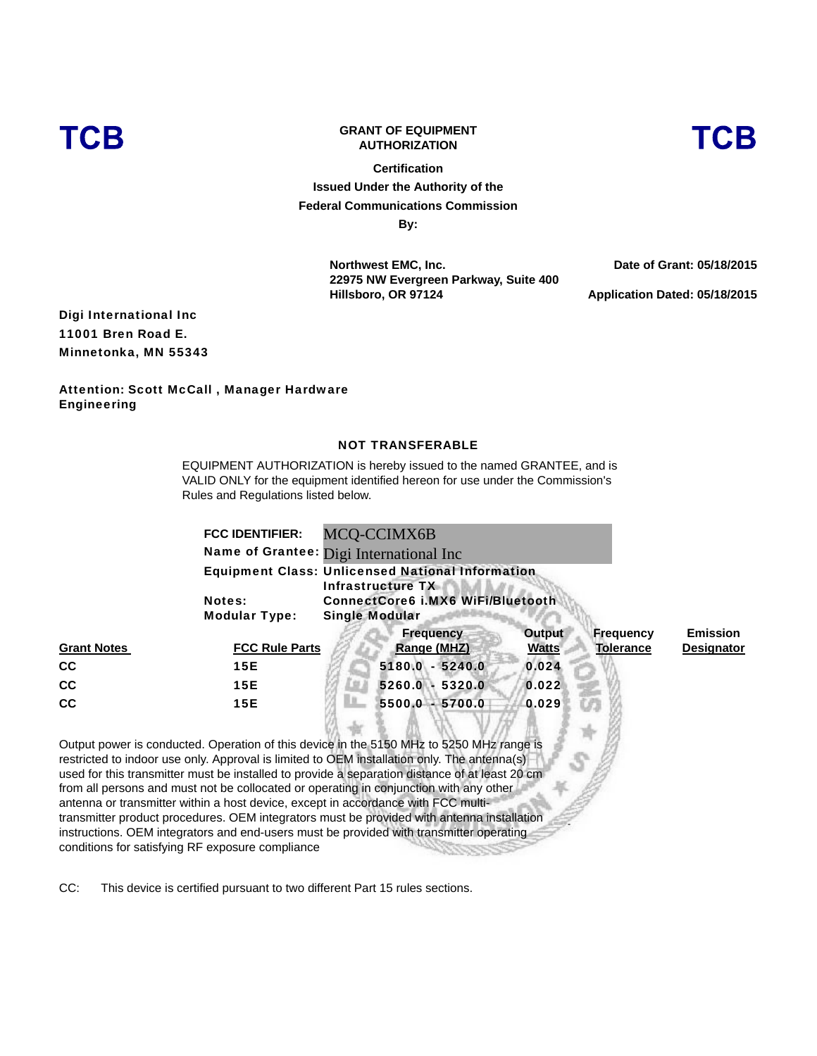

# **GRANT OF EQUIPMENT AUTHORIZATION**

**Certification Issued Under the Authority of the Federal Communications Commission By:**

> **Northwest EMC, Inc. 22975 NW Evergreen Parkway, Suite 400 Hillsboro, OR 97124**

**Date of Grant: 05/18/2015**

**Application Dated: 05/18/2015**

Digi International Inc 11001 Bren Road E. Minnetonka, MN 55343

Attention: Scott McCall , Manager Hardware Engineering

#### NOT TRANSFERABLE

EQUIPMENT AUTHORIZATION is hereby issued to the named GRANTEE, and is VALID ONLY for the equipment identified hereon for use under the Commission's Rules and Regulations listed below.

|                    | <b>FCC IDENTIFIER:</b><br><b>Notes:</b><br><b>Modular Type:</b> | MCQ-CCIMX6B<br>Name of Grantee: Digi International Inc<br><b>Equipment Class: Unlicensed National Information</b><br>Infrastructure TX<br><b>ConnectCore6 i.MX6 WiFi/Bluetooth</b><br><b>Single Modular</b>                                                                                                                                                                         |                        |                                      |                                      |  |
|--------------------|-----------------------------------------------------------------|-------------------------------------------------------------------------------------------------------------------------------------------------------------------------------------------------------------------------------------------------------------------------------------------------------------------------------------------------------------------------------------|------------------------|--------------------------------------|--------------------------------------|--|
| <b>Grant Notes</b> | <b>FCC Rule Parts</b>                                           | <b>Frequency</b><br><b>Range (MHZ)</b>                                                                                                                                                                                                                                                                                                                                              | Output<br><b>Watts</b> | <b>Frequency</b><br><b>Tolerance</b> | <b>Emission</b><br><b>Designator</b> |  |
| <b>CC</b>          | 15E                                                             | 5180.0 - 5240.0                                                                                                                                                                                                                                                                                                                                                                     | 0.024                  |                                      |                                      |  |
| cc                 | 15E                                                             | 5260.0 - 5320.0                                                                                                                                                                                                                                                                                                                                                                     | 0.022                  |                                      |                                      |  |
| <b>CC</b>          | 15E                                                             | 5500.0 - 5700.0                                                                                                                                                                                                                                                                                                                                                                     | 0.029                  |                                      |                                      |  |
|                    |                                                                 | Output power is conducted. Operation of this device in the 5150 MHz to 5250 MHz range is<br>restricted to indoor use only. Approval is limited to OEM installation only. The antenna(s)<br>used for this transmitter must be installed to provide a separation distance of at least 20 cm<br>from all persons and must not be collocated or operating in conjunction with any other |                        |                                      |                                      |  |

from all persons and must not be collocated or operating in conjunction with any other antenna or transmitter within a host device, except in accordance with FCC multitransmitter product procedures. OEM integrators must be provided with antenna installation instructions. OEM integrators and end-users must be provided with transmitter operating conditions for satisfying RF exposure compliance

CC: This device is certified pursuant to two different Part 15 rules sections.